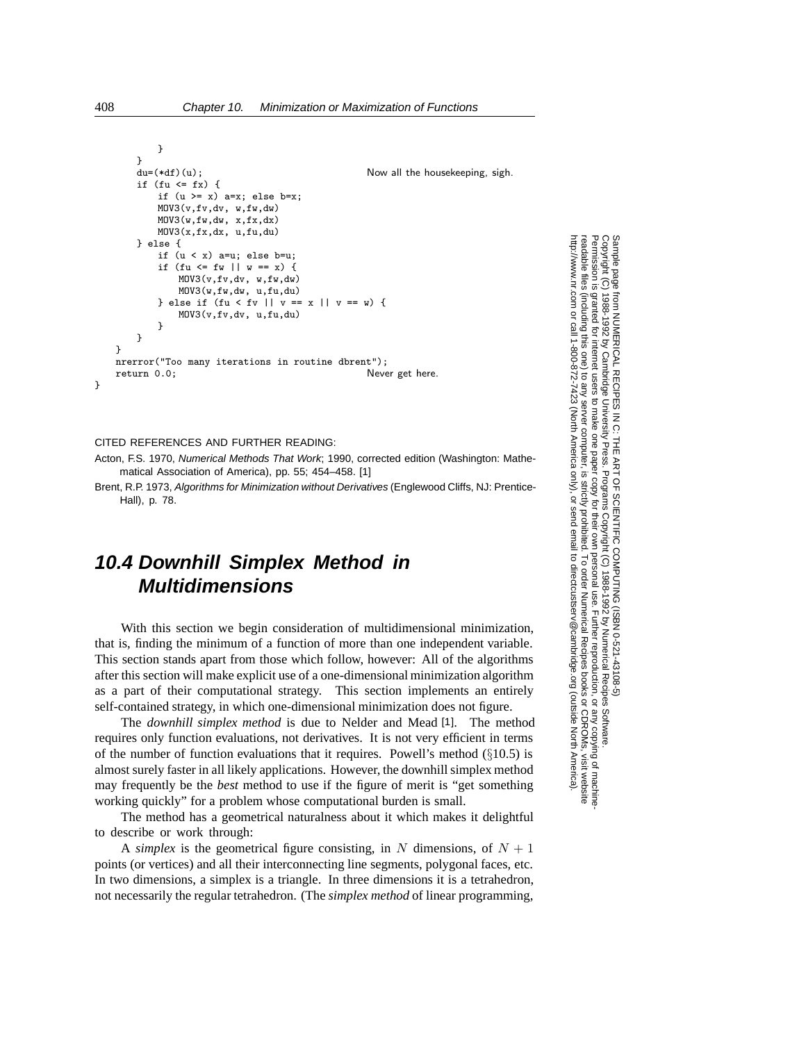```
}
   }
   du=(*df)(u); Now all the housekeeping, sigh.
   if (fu \leq fx) {
       if (u \ge x) a=x; else b=x;
       MOV3(v,fv,dv, w,fw,dw)
      M0V3(w,fw,dw, x,fx,dx)MOV3(x,fx,dx, u,fu,du)
   } else {
       if (u < x) a=u; else b=u;
       if (fu \leq fw || w == x) {
          MOV3(v,fv,dv, w,fw,dw)
          MOV3(w,fw,dw, u,fu,du)
      } else if (fu < fv || v == x || v == w) {
          MOV3(v,fv,dv, u,fu,du)
       }
   }
}
nrerror("Too many iterations in routine dbrent");
return 0.0; Never get here.
```

```
CITED REFERENCES AND FURTHER READING:
```
Acton, F.S. 1970, Numerical Methods That Work; 1990, corrected edition (Washington: Mathematical Association of America), pp. 55; 454–458. [1]

Brent, R.P. 1973, Algorithms for Minimization without Derivatives (Englewood Cliffs, NJ: Prentice-Hall), p. 78.

## **10.4 Downhill Simplex Method in Multidimensions**

With this section we begin consideration of multidimensional minimization, that is, finding the minimum of a function of more than one independent variable. This section stands apart from those which follow, however: All of the algorithms after this section will make explicit use of a one-dimensional minimization algorithm as a part of their computational strategy. This section implements an entirely self-contained strategy, in which one-dimensional minimization does not figure.

The *downhill simplex method* is due to Nelder and Mead [1]. The method requires only function evaluations, not derivatives. It is not very efficient in terms of the number of function evaluations that it requires. Powell's method (*§*10.5) is almost surely faster in all likely applications. However, the downhill simplex method may frequently be the *best* method to use if the figure of merit is "get something working quickly" for a problem whose computational burden is small.

The method has a geometrical naturalness about it which makes it delightful to describe or work through:

A *simplex* is the geometrical figure consisting, in N dimensions, of  $N + 1$ points (or vertices) and all their interconnecting line segments, polygonal faces, etc. In two dimensions, a simplex is a triangle. In three dimensions it is a tetrahedron, not necessarily the regular tetrahedron. (The *simplex method* of linear programming,

Copyright (C)<br>Permission is Copyright (C) 1988-1992 by Cambridge University Press.Sample page from NUMERICAL RECIPES IN C: THE ART OF SCIENTIFIC COMPUTING (ISBN 0-521-43108-5) http://www.nr.com or call 1-800-872-7423 (North America only),readable files (including this one) to any serverPermission is granted for internet users to make one paper copy for their own personal use. Further reproduction, or any copyin ped ardues granted for internet users 1988-1992 by Cambridge **IFTHE CONFINITY OF RECIPES IN C. THE** computer, is strictly prohibited. To order Numerical Recipes booksPrograms Copyright (C) 1988-1992 by Numerical Recipes Software. or send email to directcustserv@cambridge.org (outside North America). send email to directcustserv@cambridge.org (outside North America). or CDROMs, visit website g of machine-

}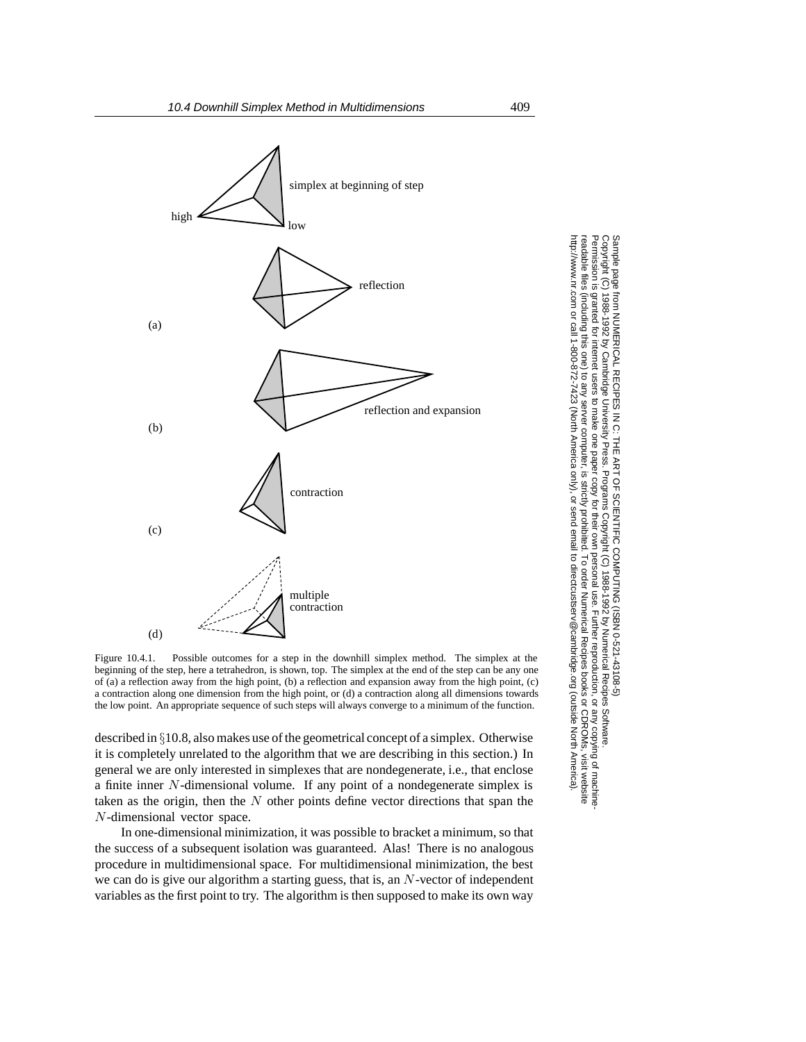

Figure 10.4.1. Possible outcomes for a step in the downhill simplex method. The simplex at the beginning of the step, here a tetrahedron, is shown, top. The simplex at the end of the step can be any one of (a) a reflection away from the high point, (b) a reflection and expansion away from the high point, (c) a contraction along one dimension from the high point, or (d) a contraction along all dimensions towards the low point. An appropriate sequence of such steps will always converge to a minimum of the function.

described in *§*10.8, also makes use of the geometrical concept of a simplex. Otherwise it is completely unrelated to the algorithm that we are describing in this section.) In general we are only interested in simplexes that are nondegenerate, i.e., that enclose a finite inner N-dimensional volume. If any point of a nondegenerate simplex is taken as the origin, then the  $N$  other points define vector directions that span the N-dimensional vector space.

In one-dimensional minimization, it was possible to bracket a minimum, so that the success of a subsequent isolation was guaranteed. Alas! There is no analogous procedure in multidimensional space. For multidimensional minimization, the best we can do is give our algorithm a starting guess, that is, an N-vector of independent variables as the first point to try. The algorithm is then supposed to make its own way

Copyright (C) 1988-1992 by Cambridge University Press.Sample page from NUMERICAL RECIPES IN C: THE ART OF SCIENTIFIC COMPUTING (ISBN 0-521-43108-5) http://www.nr.com or call 1-800-872-7423 (North America only),readable files (including this one) to any serverPermission is granted for internet users to make one paper copy for their own personal use. Further reproduction, or any copyin Copyright aged aidues  $\widehat{\Omega}$ tom KICKL KECKL KECKL REGISTATIVE ON SUSTAIN CONDUITENT COM SUSTANC OUR SUSTANGES SOFT SUSTAINS SUSTAINS SOFT A<br>1998-1997 by Our Supper Supper Supper Supper Supper Supper Supper Supper Supper Supper Supper Supper Supper Su computer, is strictly prohibited. To order Numerical Recipes booksPrograms Copyright (C) 1988-1992 by Numerical Recipes Software. or send email to directcustserv@cambridge.org (outside North America). or CDROMs, visit website g of machine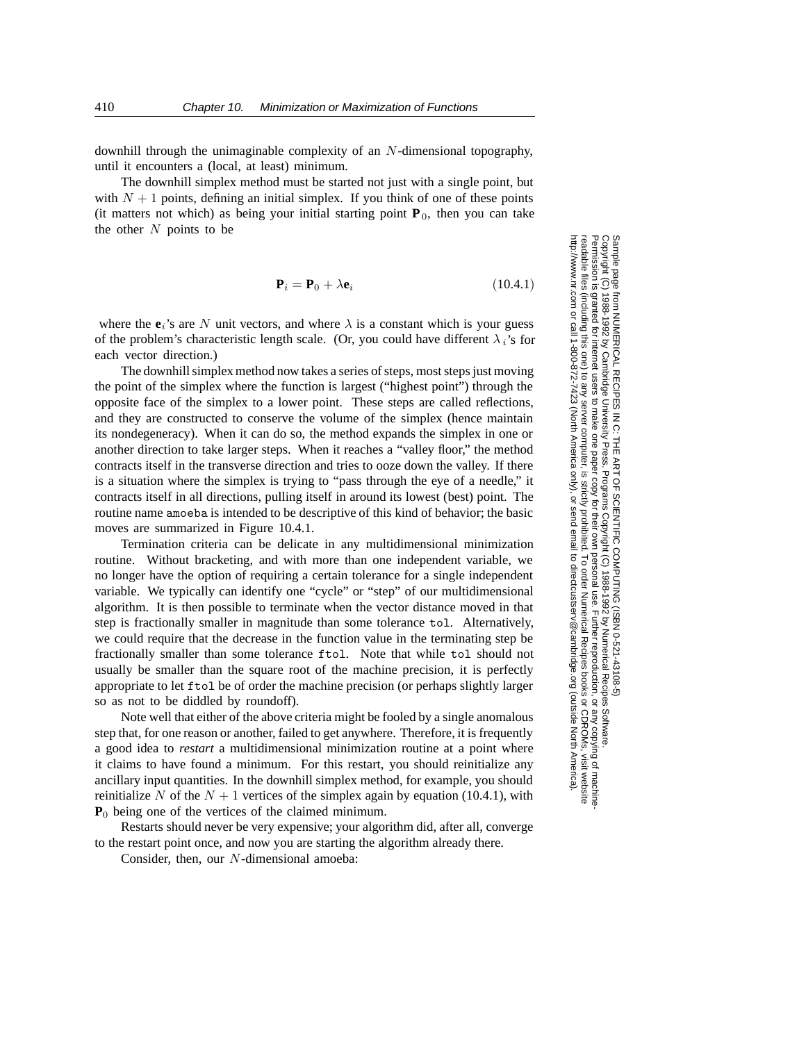downhill through the unimaginable complexity of an N-dimensional topography, until it encounters a (local, at least) minimum.

The downhill simplex method must be started not just with a single point, but with  $N + 1$  points, defining an initial simplex. If you think of one of these points (it matters not which) as being your initial starting point  $P_0$ , then you can take the other  $N$  points to be

$$
\mathbf{P}_i = \mathbf{P}_0 + \lambda \mathbf{e}_i \tag{10.4.1}
$$

where the  $e_i$ 's are N unit vectors, and where  $\lambda$  is a constant which is your guess of the problem's characteristic length scale. (Or, you could have different  $\lambda_i$ 's for each vector direction.)

The downhill simplex method now takes a series of steps, most steps just moving the point of the simplex where the function is largest ("highest point") through the opposite face of the simplex to a lower point. These steps are called reflections, and they are constructed to conserve the volume of the simplex (hence maintain its nondegeneracy). When it can do so, the method expands the simplex in one or another direction to take larger steps. When it reaches a "valley floor," the method contracts itself in the transverse direction and tries to ooze down the valley. If there is a situation where the simplex is trying to "pass through the eye of a needle," it contracts itself in all directions, pulling itself in around its lowest (best) point. The routine name amoeba is intended to be descriptive of this kind of behavior; the basic moves are summarized in Figure 10.4.1.

Termination criteria can be delicate in any multidimensional minimization routine. Without bracketing, and with more than one independent variable, we no longer have the option of requiring a certain tolerance for a single independent variable. We typically can identify one "cycle" or "step" of our multidimensional algorithm. It is then possible to terminate when the vector distance moved in that step is fractionally smaller in magnitude than some tolerance tol. Alternatively, we could require that the decrease in the function value in the terminating step be fractionally smaller than some tolerance ftol. Note that while tol should not usually be smaller than the square root of the machine precision, it is perfectly appropriate to let ftol be of order the machine precision (or perhaps slightly larger so as not to be diddled by roundoff).

Note well that either of the above criteria might be fooled by a single anomalous step that, for one reason or another, failed to get anywhere. Therefore, it is frequently a good idea to *restart* a multidimensional minimization routine at a point where it claims to have found a minimum. For this restart, you should reinitialize any ancillary input quantities. In the downhill simplex method, for example, you should reinitialize N of the  $N + 1$  vertices of the simplex again by equation (10.4.1), with **P**<sub>0</sub> being one of the vertices of the claimed minimum.

Restarts should never be very expensive; your algorithm did, after all, converge to the restart point once, and now you are starting the algorithm already there.

Consider, then, our N-dimensional amoeba:

Permission is granted for internet users to make one paper copy for their own personal use. Further reproduction, or any copyin Copyright (C) 1988-1992 by Cambridge University Press.Programs Copyright (C) 1988-1992 by Numerical Recipes Software. Sample page from NUMERICAL RECIPES IN C: THE ART OF SCIENTIFIC COMPUTING (ISBN 0-521-43108-5) g of machinereadable files (including this one) to any servercomputer, is strictly prohibited. To order Numerical Recipes booksor CDROMs, visit website http://www.nr.com or call 1-800-872-7423 (North America only),or send email to directcustserv@cambridge.org (outside North America).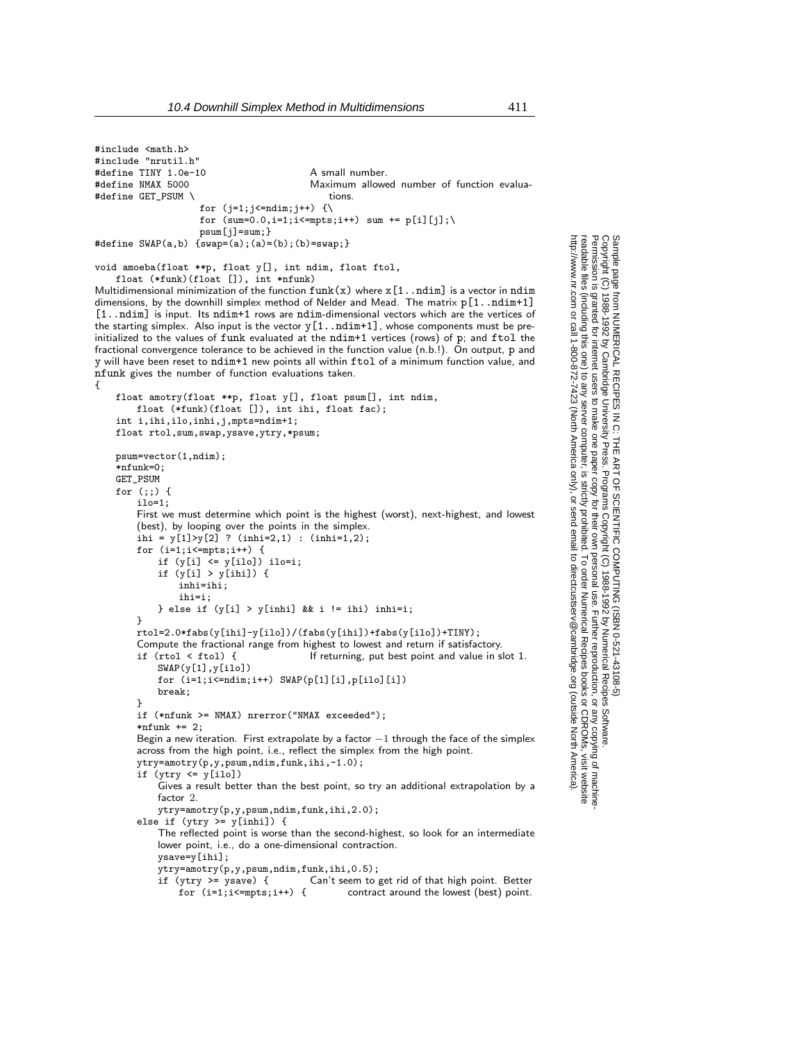#include <math.h> #include "nrutil.h" #define TINY 1.0e-10 A small number. #define NMAX 5000 Maximum allowed number of function evalua- #define GET\_PSUM \ tions. for  $(j=1;j<=ndim;j++)$  {\ for  $(sum=0.0, i=1; i<=mpts; i++)$  sum  $+=$  p[i][j]; psum[j]=sum;} #define SWAP(a,b)  ${swap=(a);(a)=(b);(b)=swap;}$ void amoeba(float \*\*p, float y[], int ndim, float ftol, float (\*funk)(float []), int \*nfunk) Multidimensional minimization of the function  $funk(x)$  where  $x[1..ndim]$  is a vector in  $ndim$ dimensions, by the downhill simplex method of Nelder and Mead. The matrix  $p[1..ndim+1]$ [1..ndim] is input. Its ndim+1 rows are ndim-dimensional vectors which are the vertices of the starting simplex. Also input is the vector  $y[1..ndim+1]$ , whose components must be preinitialized to the values of funk evaluated at the ndim+1 vertices (rows) of p; and ftol the fractional convergence tolerance to be achieved in the function value (n.b.!). On output, p and y will have been reset to ndim+1 new points all within ftol of a minimum function value, and nfunk gives the number of function evaluations taken. { float amotry(float \*\*p, float y[], float psum[], int ndim, float (\*funk)(float []), int ihi, float fac); int i,ihi,ilo,inhi,j,mpts=ndim+1; float rtol,sum,swap,ysave,ytry,\*psum; psum=vector(1,ndim);  $*nfunk=0$ GET\_PSUM for (;;) { ilo=1; First we must determine which point is the highest (worst), next-highest, and lowest (best), by looping over the points in the simplex. ihi =  $y[1] > y[2]$  ? (inhi=2,1) : (inhi=1,2); for (i=1;i<=mpts;i++) { if  $(y[i] \leq y[ilo])$  ilo=i; if  $(y[i] > y[ihij])$  { inhi=ihi; ihi=i; } else if  $(y[i] > y[inhi]$  && i != ihi) inhi=i; } rtol=2.0\*fabs(y[ihi]-y[ilo])/(fabs(y[ihi])+fabs(y[ilo])+TINY); Compute the fractional range from highest to lowest and return if satisfactory.<br>if  $(\text{rtol} < \text{ftol})$  { If returning, put best point and value in s If returning, put best point and value in slot 1. SWAP(y[1],y[ilo]) for  $(i=1; i<=ndim; i++)$  SWAP $(p[1][i], p[ilo][i])$ break; } if (\*nfunk >= NMAX) nrerror("NMAX exceeded");  $*nfunk += 2$ : Begin a new iteration. First extrapolate by a factor *−*1 through the face of the simplex across from the high point, i.e., reflect the simplex from the high point. ytry=amotry(p,y,psum,ndim,funk,ihi,-1.0); if (ytry <= y[ilo]) Gives a result better than the best point, so try an additional extrapolation by a factor 2. ytry=amotry(p,y,psum,ndim,funk,ihi,2.0); else if (ytry >= y[inhi]) { The reflected point is worse than the second-highest, so look for an intermediate lower point, i.e., do a one-dimensional contraction. ysave=y[ihi]; ytry=amotry(p,y,psum,ndim,funk,ihi,0.5); if (ytry >= ysave) { Can't seem to get rid of that high point. Better for  $(i=1; i \le mpts; i++)$  { contract around the lowest (best) point.

Permission is granted for internet users to make one paper copy for their own personal use. Further reproduction, or any copyin

computer, is strictly prohibited. To order Numerical Recipes books

or send email to directcustserv@cambridge.org (outside North America).

Sample page from NUMERICAL RECIPES IN C: THE ART OF SCIENTIFIC COMPUTING (ISBN 0-521-43108-5)

SCIENTIFIC COMPUTING

Programs Copyright (C) 1988-1992 by Numerical Recipes Software.

PUTING (ISBN 0-521-43'<br>1988-1992 by Numerical

 $108-5$ 

g of machine-

or CDROMs, visit website

Copyright (C) 1988-1992 by Cambridge University Press.

from NUMERICAL RECIPES<br>1988-1992 by Cambridge Uni<br>9 granted for internet users to n

Sample page f<br>Copyright (C)<br>Permission is <sub>!</sub><br>readable files I

readable files (including this one) to any server

http://www.nr.com or call 1-800-872-7423 (North America only),